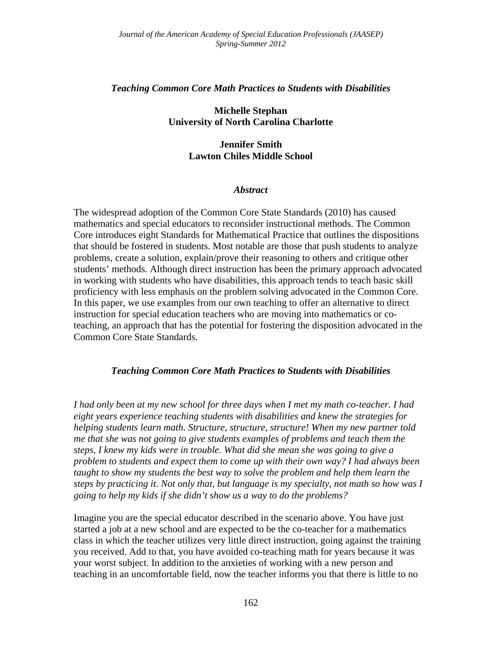### *Teaching Common Core Math Practices to Students with Disabilities*

### **Michelle Stephan University of North Carolina Charlotte**

### **Jennifer Smith Lawton Chiles Middle School**

#### *Abstract*

The widespread adoption of the Common Core State Standards (2010) has caused mathematics and special educators to reconsider instructional methods. The Common Core introduces eight Standards for Mathematical Practice that outlines the dispositions that should be fostered in students. Most notable are those that push students to analyze problems, create a solution, explain/prove their reasoning to others and critique other students' methods. Although direct instruction has been the primary approach advocated in working with students who have disabilities, this approach tends to teach basic skill proficiency with less emphasis on the problem solving advocated in the Common Core. In this paper, we use examples from our own teaching to offer an alternative to direct instruction for special education teachers who are moving into mathematics or coteaching, an approach that has the potential for fostering the disposition advocated in the Common Core State Standards.

## *Teaching Common Core Math Practices to Students with Disabilities*

*I had only been at my new school for three days when I met my math co-teacher. I had eight years experience teaching students with disabilities and knew the strategies for helping students learn math. Structure, structure, structure! When my new partner told me that she was not going to give students examples of problems and teach them the steps, I knew my kids were in trouble. What did she mean she was going to give a problem to students and expect them to come up with their own way? I had always been taught to show my students the best way to solve the problem and help them learn the steps by practicing it. Not only that, but language is my specialty, not math so how was I going to help my kids if she didn't show us a way to do the problems?* 

Imagine you are the special educator described in the scenario above. You have just started a job at a new school and are expected to be the co-teacher for a mathematics class in which the teacher utilizes very little direct instruction, going against the training you received. Add to that, you have avoided co-teaching math for years because it was your worst subject. In addition to the anxieties of working with a new person and teaching in an uncomfortable field, now the teacher informs you that there is little to no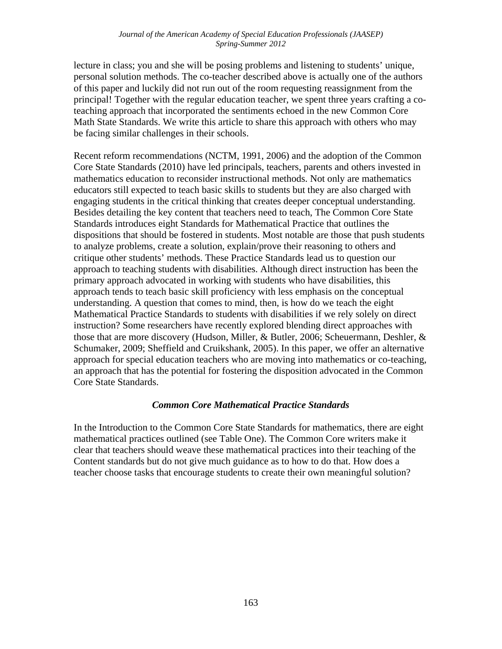lecture in class; you and she will be posing problems and listening to students' unique, personal solution methods. The co-teacher described above is actually one of the authors of this paper and luckily did not run out of the room requesting reassignment from the principal! Together with the regular education teacher, we spent three years crafting a coteaching approach that incorporated the sentiments echoed in the new Common Core Math State Standards. We write this article to share this approach with others who may be facing similar challenges in their schools.

Recent reform recommendations (NCTM, 1991, 2006) and the adoption of the Common Core State Standards (2010) have led principals, teachers, parents and others invested in mathematics education to reconsider instructional methods. Not only are mathematics educators still expected to teach basic skills to students but they are also charged with engaging students in the critical thinking that creates deeper conceptual understanding. Besides detailing the key content that teachers need to teach, The Common Core State Standards introduces eight Standards for Mathematical Practice that outlines the dispositions that should be fostered in students. Most notable are those that push students to analyze problems, create a solution, explain/prove their reasoning to others and critique other students' methods. These Practice Standards lead us to question our approach to teaching students with disabilities. Although direct instruction has been the primary approach advocated in working with students who have disabilities, this approach tends to teach basic skill proficiency with less emphasis on the conceptual understanding. A question that comes to mind, then, is how do we teach the eight Mathematical Practice Standards to students with disabilities if we rely solely on direct instruction? Some researchers have recently explored blending direct approaches with those that are more discovery (Hudson, Miller, & Butler, 2006; Scheuermann, Deshler, & Schumaker, 2009; Sheffield and Cruikshank, 2005). In this paper, we offer an alternative approach for special education teachers who are moving into mathematics or co-teaching, an approach that has the potential for fostering the disposition advocated in the Common Core State Standards.

#### *Common Core Mathematical Practice Standards*

In the Introduction to the Common Core State Standards for mathematics, there are eight mathematical practices outlined (see Table One). The Common Core writers make it clear that teachers should weave these mathematical practices into their teaching of the Content standards but do not give much guidance as to how to do that. How does a teacher choose tasks that encourage students to create their own meaningful solution?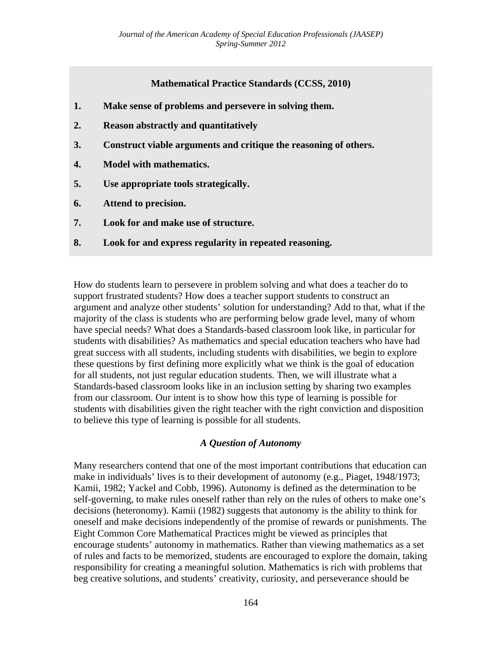**Mathematical Practice Standards (CCSS, 2010)** 

- **1. Make sense of problems and persevere in solving them.**
- **2. Reason abstractly and quantitatively**
- **3. Construct viable arguments and critique the reasoning of others.**
- **4. Model with mathematics.**
- **5. Use appropriate tools strategically.**
- **6. Attend to precision.**
- **7. Look for and make use of structure.**
- **8. Look for and express regularity in repeated reasoning.**

How do students learn to persevere in problem solving and what does a teacher do to support frustrated students? How does a teacher support students to construct an argument and analyze other students' solution for understanding? Add to that, what if the majority of the class is students who are performing below grade level, many of whom have special needs? What does a Standards-based classroom look like, in particular for students with disabilities? As mathematics and special education teachers who have had great success with all students, including students with disabilities, we begin to explore these questions by first defining more explicitly what we think is the goal of education for all students, not just regular education students. Then, we will illustrate what a Standards-based classroom looks like in an inclusion setting by sharing two examples from our classroom. Our intent is to show how this type of learning is possible for students with disabilities given the right teacher with the right conviction and disposition to believe this type of learning is possible for all students.

## *A Question of Autonomy*

Many researchers contend that one of the most important contributions that education can make in individuals' lives is to their development of autonomy (e.g., Piaget, 1948/1973; Kamii, 1982; Yackel and Cobb, 1996). Autonomy is defined as the determination to be self-governing, to make rules oneself rather than rely on the rules of others to make one's decisions (heteronomy). Kamii (1982) suggests that autonomy is the ability to think for oneself and make decisions independently of the promise of rewards or punishments. The Eight Common Core Mathematical Practices might be viewed as principles that encourage students' autonomy in mathematics. Rather than viewing mathematics as a set of rules and facts to be memorized, students are encouraged to explore the domain, taking responsibility for creating a meaningful solution. Mathematics is rich with problems that beg creative solutions, and students' creativity, curiosity, and perseverance should be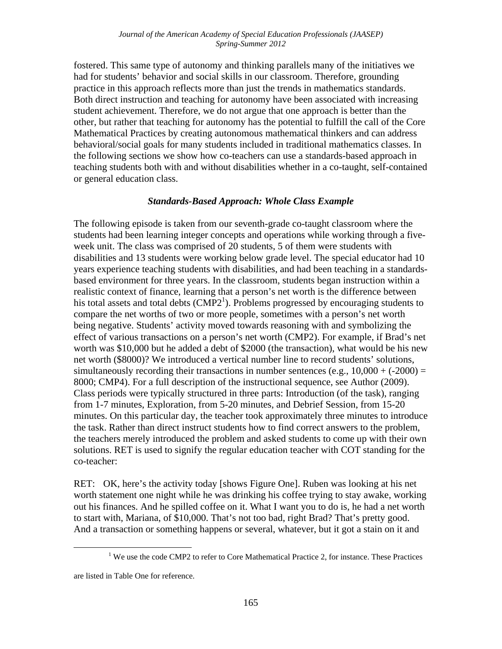fostered. This same type of autonomy and thinking parallels many of the initiatives we had for students' behavior and social skills in our classroom. Therefore, grounding practice in this approach reflects more than just the trends in mathematics standards. Both direct instruction and teaching for autonomy have been associated with increasing student achievement. Therefore, we do not argue that one approach is better than the other, but rather that teaching for autonomy has the potential to fulfill the call of the Core Mathematical Practices by creating autonomous mathematical thinkers and can address behavioral/social goals for many students included in traditional mathematics classes. In the following sections we show how co-teachers can use a standards-based approach in teaching students both with and without disabilities whether in a co-taught, self-contained or general education class.

#### *Standards-Based Approach: Whole Class Example*

The following episode is taken from our seventh-grade co-taught classroom where the students had been learning integer concepts and operations while working through a fiveweek unit. The class was comprised of 20 students, 5 of them were students with disabilities and 13 students were working below grade level. The special educator had 10 years experience teaching students with disabilities, and had been teaching in a standardsbased environment for three years. In the classroom, students began instruction within a realistic context of finance, learning that a person's net worth is the difference between his total assets and total debts  $(CMP2<sup>1</sup>)$ . Problems progressed by encouraging students to compare the net worths of two or more people, sometimes with a person's net worth being negative. Students' activity moved towards reasoning with and symbolizing the effect of various transactions on a person's net worth (CMP2). For example, if Brad's net worth was \$10,000 but he added a debt of \$2000 (the transaction), what would be his new net worth (\$8000)? We introduced a vertical number line to record students' solutions, simultaneously recording their transactions in number sentences (e.g.,  $10,000 + (-2000) =$ 8000; CMP4). For a full description of the instructional sequence, see Author (2009). Class periods were typically structured in three parts: Introduction (of the task), ranging from 1-7 minutes, Exploration, from 5-20 minutes, and Debrief Session, from 15-20 minutes. On this particular day, the teacher took approximately three minutes to introduce the task. Rather than direct instruct students how to find correct answers to the problem, the teachers merely introduced the problem and asked students to come up with their own solutions. RET is used to signify the regular education teacher with COT standing for the co-teacher:

RET: OK, here's the activity today [shows Figure One]. Ruben was looking at his net worth statement one night while he was drinking his coffee trying to stay awake, working out his finances. And he spilled coffee on it. What I want you to do is, he had a net worth to start with, Mariana, of \$10,000. That's not too bad, right Brad? That's pretty good. And a transaction or something happens or several, whatever, but it got a stain on it and

 $\begin{array}{c|c}\n\hline\n\text{1}\n\end{array}$ <sup>1</sup> We use the code CMP2 to refer to Core Mathematical Practice 2, for instance. These Practices

are listed in Table One for reference.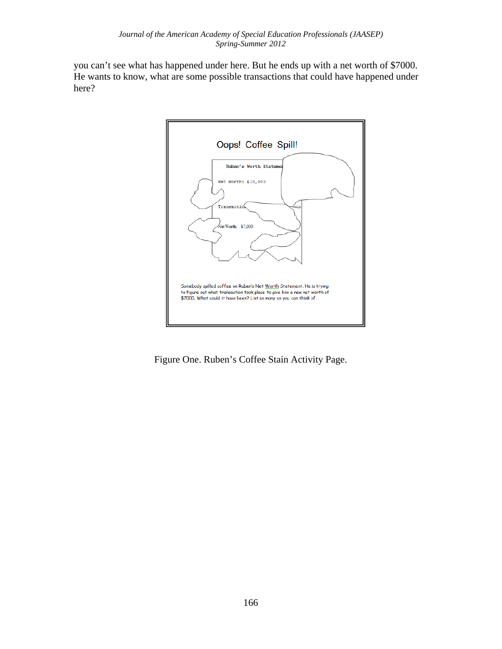you can't see what has happened under here. But he ends up with a net worth of \$7000. He wants to know, what are some possible transactions that could have happened under here?



Figure One. Ruben's Coffee Stain Activity Page.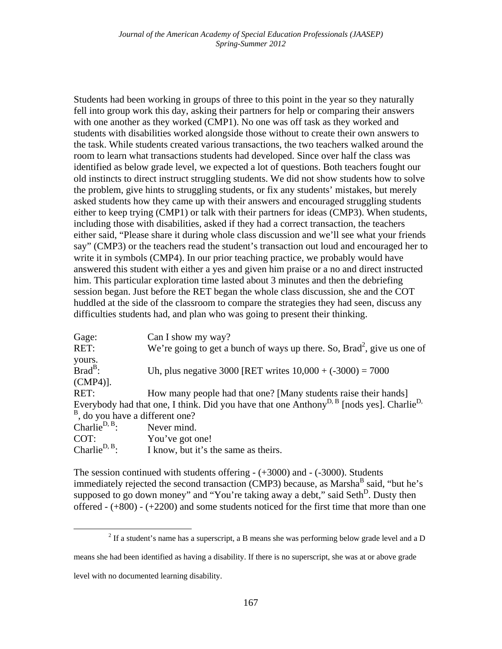Students had been working in groups of three to this point in the year so they naturally fell into group work this day, asking their partners for help or comparing their answers with one another as they worked (CMP1). No one was off task as they worked and students with disabilities worked alongside those without to create their own answers to the task. While students created various transactions, the two teachers walked around the room to learn what transactions students had developed. Since over half the class was identified as below grade level, we expected a lot of questions. Both teachers fought our old instincts to direct instruct struggling students. We did not show students how to solve the problem, give hints to struggling students, or fix any students' mistakes, but merely asked students how they came up with their answers and encouraged struggling students either to keep trying (CMP1) or talk with their partners for ideas (CMP3). When students, including those with disabilities, asked if they had a correct transaction, the teachers either said, "Please share it during whole class discussion and we'll see what your friends say" (CMP3) or the teachers read the student's transaction out loud and encouraged her to write it in symbols (CMP4). In our prior teaching practice, we probably would have answered this student with either a yes and given him praise or a no and direct instructed him. This particular exploration time lasted about 3 minutes and then the debriefing session began. Just before the RET began the whole class discussion, she and the COT huddled at the side of the classroom to compare the strategies they had seen, discuss any difficulties students had, and plan who was going to present their thinking.

| Gage:                              | Can I show my way?                                                                                               |
|------------------------------------|------------------------------------------------------------------------------------------------------------------|
| RET:                               | We're going to get a bunch of ways up there. So, Brad <sup>2</sup> , give us one of                              |
| yours.                             |                                                                                                                  |
| $\text{Brad}^{\text{B}}$ :         | Uh, plus negative 3000 [RET writes $10,000 + (-3000) = 7000$                                                     |
| $(CMP4)$ ].                        |                                                                                                                  |
| RET:                               | How many people had that one? [Many students raise their hands]                                                  |
|                                    | Everybody had that one, I think. Did you have that one Anthony <sup>D, B</sup> [nods yes]. Charlie <sup>D,</sup> |
| $B$ , do you have a different one? |                                                                                                                  |
| Charlie <sup>D, B</sup> :          | Never mind.                                                                                                      |
| COT:                               | You've got one!                                                                                                  |
| Charlie <sup>D, B</sup> :          | I know, but it's the same as theirs.                                                                             |
|                                    |                                                                                                                  |

The session continued with students offering - (+3000) and - (-3000). Students immediately rejected the second transaction (CMP3) because, as Marsha<sup>B</sup> said, "but he's supposed to go down money" and "You're taking away a debt," said Seth<sup>D</sup>. Dusty then offered  $-(+800)$   $-(+2200)$  and some students noticed for the first time that more than one

 <sup>2</sup>  $2$  If a student's name has a superscript, a B means she was performing below grade level and a D

means she had been identified as having a disability. If there is no superscript, she was at or above grade

level with no documented learning disability.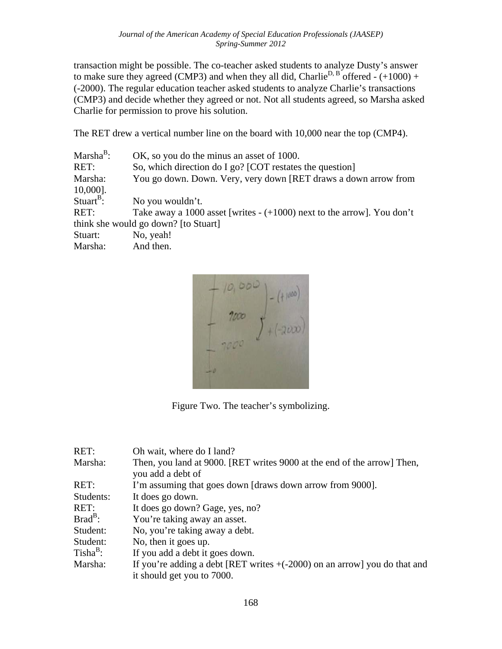transaction might be possible. The co-teacher asked students to analyze Dusty's answer to make sure they agreed (CMP3) and when they all did, Charlie<sup>D, B</sup> offered  $-(+1000) +$ (-2000). The regular education teacher asked students to analyze Charlie's transactions (CMP3) and decide whether they agreed or not. Not all students agreed, so Marsha asked Charlie for permission to prove his solution.

The RET drew a vertical number line on the board with 10,000 near the top (CMP4).

| Marsha $B$ : | OK, so you do the minus an asset of 1000.                                |
|--------------|--------------------------------------------------------------------------|
| RET:         | So, which direction do I go? [COT restates the question]                 |
| Marsha:      | You go down. Down. Very, very down [RET draws a down arrow from          |
| $10,000$ ].  |                                                                          |
| $StuartB$ :  | No you wouldn't.                                                         |
| RET:         | Take away a 1000 asset [writes $- (+1000)$ next to the arrow]. You don't |
|              | think she would go down? [to Stuart]                                     |
| Stuart:      | No, yeah!                                                                |
| Marsha:      | And then.                                                                |



Figure Two. The teacher's symbolizing.

| RET:              | Oh wait, where do I land?                                                                    |
|-------------------|----------------------------------------------------------------------------------------------|
| Marsha:           | Then, you land at 9000. [RET writes 9000 at the end of the arrow] Then,<br>you add a debt of |
| RET:              | I'm assuming that goes down [draws down arrow from 9000].                                    |
| Students:         | It does go down.                                                                             |
| RET:              | It does go down? Gage, yes, no?                                                              |
| $\text{Brad}^B$ : | You're taking away an asset.                                                                 |
| Student:          | No, you're taking away a debt.                                                               |
| Student:          | No, then it goes up.                                                                         |
| $TishaB$ :        | If you add a debt it goes down.                                                              |
| Marsha:           | If you're adding a debt [RET writes $+(-2000)$ on an arrow] you do that and                  |
|                   | it should get you to 7000.                                                                   |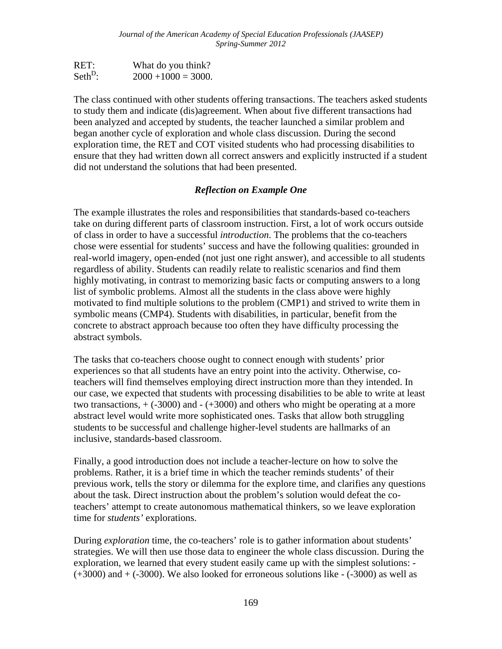| RET:       | What do you think?    |
|------------|-----------------------|
| $Seth^D$ : | $2000 + 1000 = 3000.$ |

The class continued with other students offering transactions. The teachers asked students to study them and indicate (dis)agreement. When about five different transactions had been analyzed and accepted by students, the teacher launched a similar problem and began another cycle of exploration and whole class discussion. During the second exploration time, the RET and COT visited students who had processing disabilities to ensure that they had written down all correct answers and explicitly instructed if a student did not understand the solutions that had been presented.

### *Reflection on Example One*

The example illustrates the roles and responsibilities that standards-based co-teachers take on during different parts of classroom instruction. First, a lot of work occurs outside of class in order to have a successful *introduction*. The problems that the co-teachers chose were essential for students' success and have the following qualities: grounded in real-world imagery, open-ended (not just one right answer), and accessible to all students regardless of ability. Students can readily relate to realistic scenarios and find them highly motivating, in contrast to memorizing basic facts or computing answers to a long list of symbolic problems. Almost all the students in the class above were highly motivated to find multiple solutions to the problem (CMP1) and strived to write them in symbolic means (CMP4). Students with disabilities, in particular, benefit from the concrete to abstract approach because too often they have difficulty processing the abstract symbols.

The tasks that co-teachers choose ought to connect enough with students' prior experiences so that all students have an entry point into the activity. Otherwise, coteachers will find themselves employing direct instruction more than they intended. In our case, we expected that students with processing disabilities to be able to write at least two transactions,  $+$  (-3000) and  $-$  (+3000) and others who might be operating at a more abstract level would write more sophisticated ones. Tasks that allow both struggling students to be successful and challenge higher-level students are hallmarks of an inclusive, standards-based classroom.

Finally, a good introduction does not include a teacher-lecture on how to solve the problems. Rather, it is a brief time in which the teacher reminds students' of their previous work, tells the story or dilemma for the explore time, and clarifies any questions about the task. Direct instruction about the problem's solution would defeat the coteachers' attempt to create autonomous mathematical thinkers, so we leave exploration time for *students'* explorations.

During *exploration* time, the co-teachers' role is to gather information about students' strategies. We will then use those data to engineer the whole class discussion. During the exploration, we learned that every student easily came up with the simplest solutions: - (+3000) and + (-3000). We also looked for erroneous solutions like - (-3000) as well as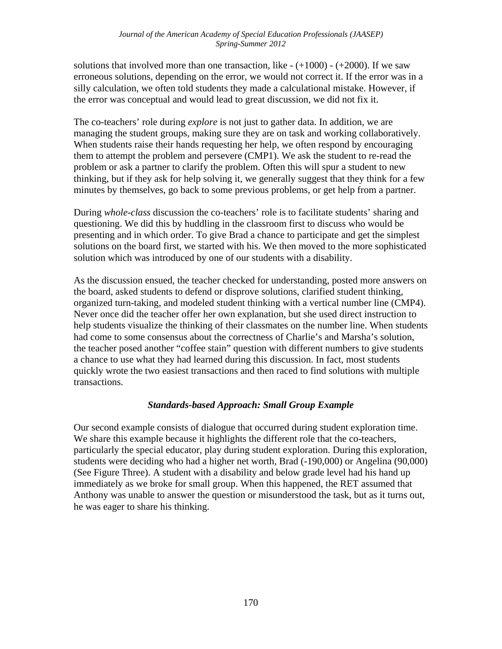solutions that involved more than one transaction, like  $- (+1000) - (+2000)$ . If we saw erroneous solutions, depending on the error, we would not correct it. If the error was in a silly calculation, we often told students they made a calculational mistake. However, if the error was conceptual and would lead to great discussion, we did not fix it.

The co-teachers' role during *explore* is not just to gather data. In addition, we are managing the student groups, making sure they are on task and working collaboratively. When students raise their hands requesting her help, we often respond by encouraging them to attempt the problem and persevere (CMP1). We ask the student to re-read the problem or ask a partner to clarify the problem. Often this will spur a student to new thinking, but if they ask for help solving it, we generally suggest that they think for a few minutes by themselves, go back to some previous problems, or get help from a partner.

During *whole-class* discussion the co-teachers' role is to facilitate students' sharing and questioning. We did this by huddling in the classroom first to discuss who would be presenting and in which order. To give Brad a chance to participate and get the simplest solutions on the board first, we started with his. We then moved to the more sophisticated solution which was introduced by one of our students with a disability.

As the discussion ensued, the teacher checked for understanding, posted more answers on the board, asked students to defend or disprove solutions, clarified student thinking, organized turn-taking, and modeled student thinking with a vertical number line (CMP4). Never once did the teacher offer her own explanation, but she used direct instruction to help students visualize the thinking of their classmates on the number line. When students had come to some consensus about the correctness of Charlie's and Marsha's solution, the teacher posed another "coffee stain" question with different numbers to give students a chance to use what they had learned during this discussion. In fact, most students quickly wrote the two easiest transactions and then raced to find solutions with multiple transactions.

## *Standards-based Approach: Small Group Example*

Our second example consists of dialogue that occurred during student exploration time. We share this example because it highlights the different role that the co-teachers, particularly the special educator, play during student exploration. During this exploration, students were deciding who had a higher net worth, Brad (-190,000) or Angelina (90,000) (See Figure Three). A student with a disability and below grade level had his hand up immediately as we broke for small group. When this happened, the RET assumed that Anthony was unable to answer the question or misunderstood the task, but as it turns out, he was eager to share his thinking.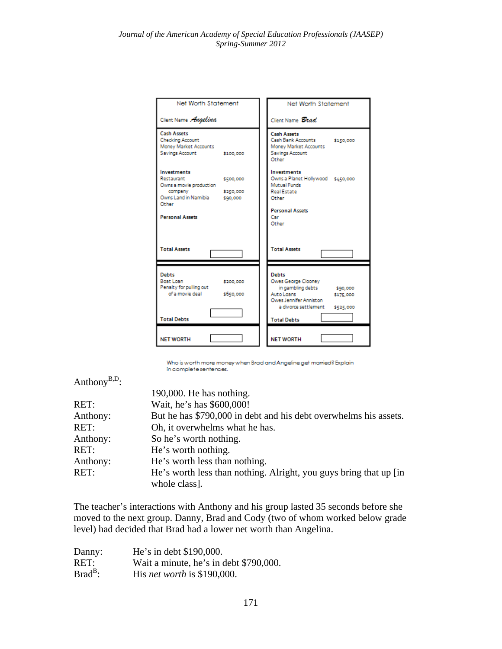| Net Worth Statement                                                                                                                                                     | Net Worth Statement                                                                                                                                                                  |
|-------------------------------------------------------------------------------------------------------------------------------------------------------------------------|--------------------------------------------------------------------------------------------------------------------------------------------------------------------------------------|
| Client Name Augelina                                                                                                                                                    | Client Name Brad                                                                                                                                                                     |
| <b>Cash Assets</b><br><b>Checking Account</b><br>Money Market Accounts<br>Savings Account<br>\$100,000                                                                  | <b>Cash Assets</b><br>Cash Bank Accounts<br>\$150,000<br>Money Market Accounts<br><b>Savings Account</b><br>Other                                                                    |
| <b>Investments</b><br>Restaurant<br>\$500,000<br>Owns a movie production<br>\$250,000<br>company<br>Owns Land in Namibia<br>\$90,000<br>Other<br><b>Personal Assets</b> | Investments<br>Owns a Planet Hollywood \$450,000<br>Mutual Funds<br><b>Real Estate</b><br>Other<br><b>Personal Assets</b><br>Car<br>Other                                            |
| <b>Total Assets</b>                                                                                                                                                     | <b>Total Assets</b>                                                                                                                                                                  |
| <b>Debts</b><br>Boat Loan<br>\$200,000<br>Penalty for pulling out<br>of a movie deal<br>\$650,000<br><b>Total Debts</b>                                                 | <b>Debts</b><br>Owes George Clooney<br>in gambling debts<br>\$90,000<br>Auto Loans<br>\$175,000<br>Owes Jennifer Anniston<br>a divorce settlement<br>\$525,000<br><b>Total Debts</b> |
| <b>NET WORTH</b>                                                                                                                                                        | <b>NET WORTH</b>                                                                                                                                                                     |

Who is worth more money when Brad and Angeline get married? Explain in complete sentences.

| Anthony <sup>B,D</sup> : |  |  |  |  |  |  |  |
|--------------------------|--|--|--|--|--|--|--|
|                          |  |  |  |  |  |  |  |
|                          |  |  |  |  |  |  |  |

|          | 190,000. He has nothing.                                           |
|----------|--------------------------------------------------------------------|
| RET:     | Wait, he's has \$600,000!                                          |
| Anthony: | But he has \$790,000 in debt and his debt overwhelms his assets.   |
| RET:     | Oh, it overwhelms what he has.                                     |
| Anthony: | So he's worth nothing.                                             |
| RET:     | He's worth nothing.                                                |
| Anthony: | He's worth less than nothing.                                      |
| RET:     | He's worth less than nothing. Alright, you guys bring that up [in] |
|          | whole class.                                                       |

The teacher's interactions with Anthony and his group lasted 35 seconds before she moved to the next group. Danny, Brad and Cody (two of whom worked below grade level) had decided that Brad had a lower net worth than Angelina.

| Danny:              | He's in debt \$190,000.                |
|---------------------|----------------------------------------|
| RET:                | Wait a minute, he's in debt \$790,000. |
| Brad <sup>B</sup> : | His net worth is \$190,000.            |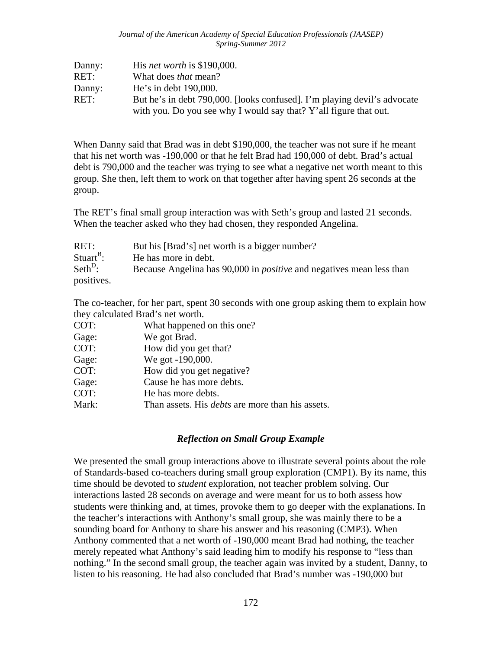| Danny: | His <i>net worth</i> is $$190,000$ .                                     |
|--------|--------------------------------------------------------------------------|
| RET:   | What does <i>that</i> mean?                                              |
| Danny: | He's in debt 190,000.                                                    |
| RET:   | But he's in debt 790,000. [looks confused]. I'm playing devil's advocate |
|        | with you. Do you see why I would say that? Y'all figure that out.        |

When Danny said that Brad was in debt \$190,000, the teacher was not sure if he meant that his net worth was -190,000 or that he felt Brad had 190,000 of debt. Brad's actual debt is 790,000 and the teacher was trying to see what a negative net worth meant to this group. She then, left them to work on that together after having spent 26 seconds at the group.

The RET's final small group interaction was with Seth's group and lasted 21 seconds. When the teacher asked who they had chosen, they responded Angelina.

| REF:                           | But his [Brad's] net worth is a bigger number?                              |
|--------------------------------|-----------------------------------------------------------------------------|
| $StuartB$ :                    | He has more in debt.                                                        |
| $\mathbf{Seth}^{\mathbf{D}}$ : | Because Angelina has 90,000 in <i>positive</i> and negatives mean less than |
| positives.                     |                                                                             |

The co-teacher, for her part, spent 30 seconds with one group asking them to explain how they calculated Brad's net worth.

| COT:  | What happened on this one?                              |
|-------|---------------------------------------------------------|
| Gage: | We got Brad.                                            |
| COT:  | How did you get that?                                   |
| Gage: | We got -190,000.                                        |
| COT:  | How did you get negative?                               |
| Gage: | Cause he has more debts.                                |
| COT:  | He has more debts.                                      |
| Mark: | Than assets. His <i>debts</i> are more than his assets. |

## *Reflection on Small Group Example*

We presented the small group interactions above to illustrate several points about the role of Standards-based co-teachers during small group exploration (CMP1). By its name, this time should be devoted to *student* exploration, not teacher problem solving. Our interactions lasted 28 seconds on average and were meant for us to both assess how students were thinking and, at times, provoke them to go deeper with the explanations. In the teacher's interactions with Anthony's small group, she was mainly there to be a sounding board for Anthony to share his answer and his reasoning (CMP3). When Anthony commented that a net worth of -190,000 meant Brad had nothing, the teacher merely repeated what Anthony's said leading him to modify his response to "less than nothing." In the second small group, the teacher again was invited by a student, Danny, to listen to his reasoning. He had also concluded that Brad's number was -190,000 but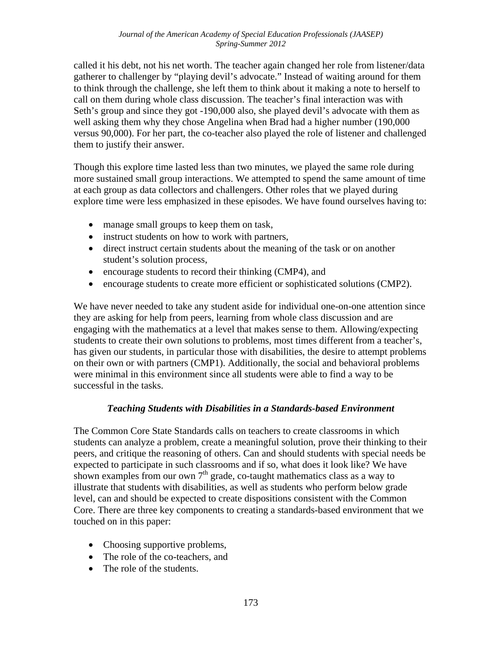called it his debt, not his net worth. The teacher again changed her role from listener/data gatherer to challenger by "playing devil's advocate." Instead of waiting around for them to think through the challenge, she left them to think about it making a note to herself to call on them during whole class discussion. The teacher's final interaction was with Seth's group and since they got -190,000 also, she played devil's advocate with them as well asking them why they chose Angelina when Brad had a higher number (190,000 versus 90,000). For her part, the co-teacher also played the role of listener and challenged them to justify their answer.

Though this explore time lasted less than two minutes, we played the same role during more sustained small group interactions. We attempted to spend the same amount of time at each group as data collectors and challengers. Other roles that we played during explore time were less emphasized in these episodes. We have found ourselves having to:

- manage small groups to keep them on task,
- instruct students on how to work with partners,
- direct instruct certain students about the meaning of the task or on another student's solution process,
- encourage students to record their thinking (CMP4), and
- encourage students to create more efficient or sophisticated solutions (CMP2).

We have never needed to take any student aside for individual one-on-one attention since they are asking for help from peers, learning from whole class discussion and are engaging with the mathematics at a level that makes sense to them. Allowing/expecting students to create their own solutions to problems, most times different from a teacher's, has given our students, in particular those with disabilities, the desire to attempt problems on their own or with partners (CMP1). Additionally, the social and behavioral problems were minimal in this environment since all students were able to find a way to be successful in the tasks.

## *Teaching Students with Disabilities in a Standards-based Environment*

The Common Core State Standards calls on teachers to create classrooms in which students can analyze a problem, create a meaningful solution, prove their thinking to their peers, and critique the reasoning of others. Can and should students with special needs be expected to participate in such classrooms and if so, what does it look like? We have shown examples from our own  $7<sup>th</sup>$  grade, co-taught mathematics class as a way to illustrate that students with disabilities, as well as students who perform below grade level, can and should be expected to create dispositions consistent with the Common Core. There are three key components to creating a standards-based environment that we touched on in this paper:

- Choosing supportive problems,
- The role of the co-teachers, and
- The role of the students.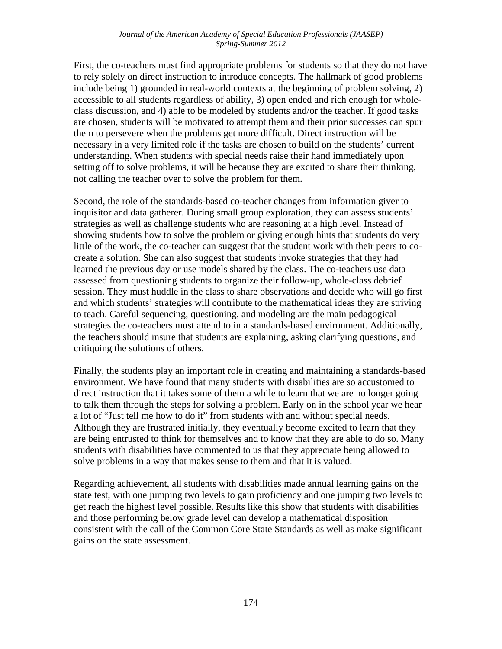First, the co-teachers must find appropriate problems for students so that they do not have to rely solely on direct instruction to introduce concepts. The hallmark of good problems include being 1) grounded in real-world contexts at the beginning of problem solving, 2) accessible to all students regardless of ability, 3) open ended and rich enough for wholeclass discussion, and 4) able to be modeled by students and/or the teacher. If good tasks are chosen, students will be motivated to attempt them and their prior successes can spur them to persevere when the problems get more difficult. Direct instruction will be necessary in a very limited role if the tasks are chosen to build on the students' current understanding. When students with special needs raise their hand immediately upon setting off to solve problems, it will be because they are excited to share their thinking, not calling the teacher over to solve the problem for them.

Second, the role of the standards-based co-teacher changes from information giver to inquisitor and data gatherer. During small group exploration, they can assess students' strategies as well as challenge students who are reasoning at a high level. Instead of showing students how to solve the problem or giving enough hints that students do very little of the work, the co-teacher can suggest that the student work with their peers to cocreate a solution. She can also suggest that students invoke strategies that they had learned the previous day or use models shared by the class. The co-teachers use data assessed from questioning students to organize their follow-up, whole-class debrief session. They must huddle in the class to share observations and decide who will go first and which students' strategies will contribute to the mathematical ideas they are striving to teach. Careful sequencing, questioning, and modeling are the main pedagogical strategies the co-teachers must attend to in a standards-based environment. Additionally, the teachers should insure that students are explaining, asking clarifying questions, and critiquing the solutions of others.

Finally, the students play an important role in creating and maintaining a standards-based environment. We have found that many students with disabilities are so accustomed to direct instruction that it takes some of them a while to learn that we are no longer going to talk them through the steps for solving a problem. Early on in the school year we hear a lot of "Just tell me how to do it" from students with and without special needs. Although they are frustrated initially, they eventually become excited to learn that they are being entrusted to think for themselves and to know that they are able to do so. Many students with disabilities have commented to us that they appreciate being allowed to solve problems in a way that makes sense to them and that it is valued.

Regarding achievement, all students with disabilities made annual learning gains on the state test, with one jumping two levels to gain proficiency and one jumping two levels to get reach the highest level possible. Results like this show that students with disabilities and those performing below grade level can develop a mathematical disposition consistent with the call of the Common Core State Standards as well as make significant gains on the state assessment.